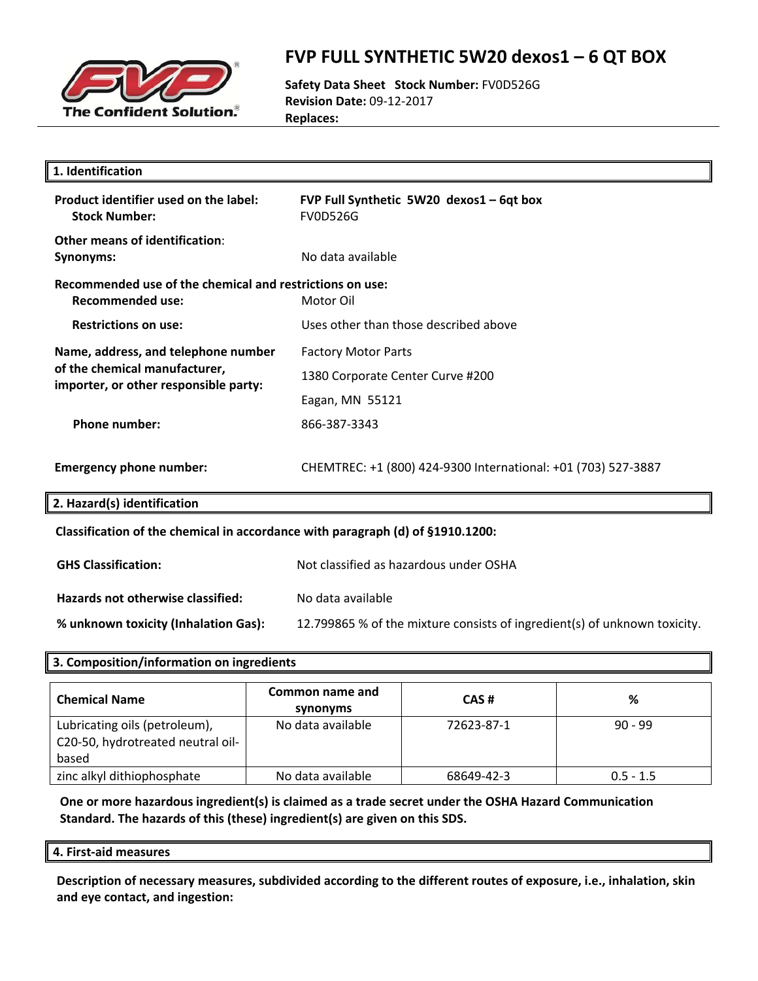

### **FVP FULL SYNTHETIC 5W20 dexos1 – 6 QT BOX**

**Safety Data Sheet Stock Number:** FV0D526G **Revision Date:** 09‐12‐2017 **Replaces:**

| 1. Identification                                                                                             |                                                                           |  |
|---------------------------------------------------------------------------------------------------------------|---------------------------------------------------------------------------|--|
| Product identifier used on the label:<br><b>Stock Number:</b>                                                 | FVP Full Synthetic 5W20 dexos1 - 6qt box<br><b>FV0D526G</b>               |  |
| Other means of identification:<br>Synonyms:                                                                   | No data available                                                         |  |
| Recommended use of the chemical and restrictions on use:<br><b>Recommended use:</b>                           | Motor Oil                                                                 |  |
| <b>Restrictions on use:</b>                                                                                   | Uses other than those described above                                     |  |
| Name, address, and telephone number<br>of the chemical manufacturer,<br>importer, or other responsible party: | <b>Factory Motor Parts</b>                                                |  |
|                                                                                                               | 1380 Corporate Center Curve #200                                          |  |
|                                                                                                               | Eagan, MN 55121                                                           |  |
| <b>Phone number:</b>                                                                                          | 866-387-3343                                                              |  |
| <b>Emergency phone number:</b>                                                                                | CHEMTREC: +1 (800) 424-9300 International: +01 (703) 527-3887             |  |
| 2. Hazard(s) identification                                                                                   |                                                                           |  |
| Classification of the chemical in accordance with paragraph (d) of §1910.1200:                                |                                                                           |  |
| <b>GHS Classification:</b>                                                                                    | Not classified as hazardous under OSHA                                    |  |
| Hazards not otherwise classified:                                                                             | No data available                                                         |  |
| % unknown toxicity (Inhalation Gas):                                                                          | 12.799865 % of the mixture consists of ingredient(s) of unknown toxicity. |  |
|                                                                                                               |                                                                           |  |

### **3. Composition/information on ingredients**

| <b>Chemical Name</b>                                                        | Common name and<br>synonyms | CAS#       | %           |
|-----------------------------------------------------------------------------|-----------------------------|------------|-------------|
| Lubricating oils (petroleum),<br>C20-50, hydrotreated neutral oil-<br>based | No data available           | 72623-87-1 | $90 - 99$   |
| zinc alkyl dithiophosphate                                                  | No data available           | 68649-42-3 | $0.5 - 1.5$ |

**One or more hazardous ingredient(s) is claimed as a trade secret under the OSHA Hazard Communication Standard. The hazards of this (these) ingredient(s) are given on this SDS.**

**4. First‐aid measures**

**Description of necessary measures, subdivided according to the different routes of exposure, i.e., inhalation, skin and eye contact, and ingestion:**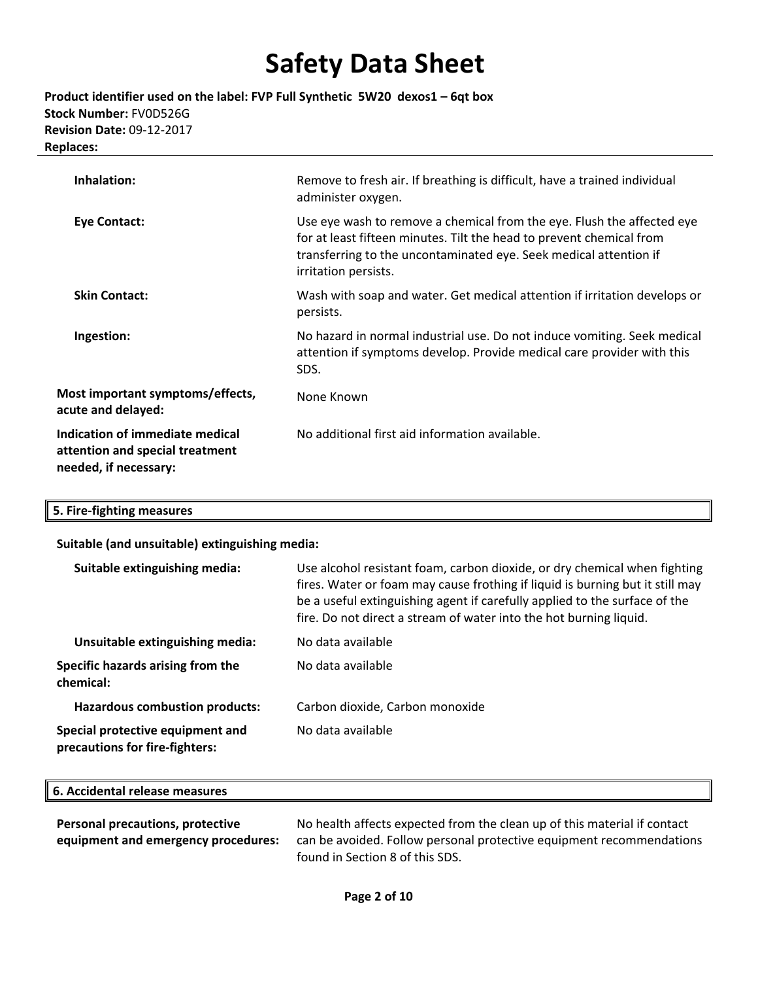**Product identifier used on the label: FVP Full Synthetic 5W20 dexos1 – 6qt box Stock Number:** FV0D526G **Revision Date:** 09‐12‐2017 **Replaces:**

| Inhalation:                                                                                 | Remove to fresh air. If breathing is difficult, have a trained individual<br>administer oxygen.                                                                                                                                             |
|---------------------------------------------------------------------------------------------|---------------------------------------------------------------------------------------------------------------------------------------------------------------------------------------------------------------------------------------------|
| Eye Contact:                                                                                | Use eye wash to remove a chemical from the eye. Flush the affected eye<br>for at least fifteen minutes. Tilt the head to prevent chemical from<br>transferring to the uncontaminated eye. Seek medical attention if<br>irritation persists. |
| <b>Skin Contact:</b>                                                                        | Wash with soap and water. Get medical attention if irritation develops or<br>persists.                                                                                                                                                      |
| Ingestion:                                                                                  | No hazard in normal industrial use. Do not induce vomiting. Seek medical<br>attention if symptoms develop. Provide medical care provider with this<br>SDS.                                                                                  |
| Most important symptoms/effects,<br>acute and delayed:                                      | None Known                                                                                                                                                                                                                                  |
| Indication of immediate medical<br>attention and special treatment<br>needed, if necessary: | No additional first aid information available.                                                                                                                                                                                              |

### **5. Fire‐fighting measures**

### **Suitable (and unsuitable) extinguishing media:**

| Suitable extinguishing media:                                      | Use alcohol resistant foam, carbon dioxide, or dry chemical when fighting<br>fires. Water or foam may cause frothing if liquid is burning but it still may<br>be a useful extinguishing agent if carefully applied to the surface of the<br>fire. Do not direct a stream of water into the hot burning liquid. |
|--------------------------------------------------------------------|----------------------------------------------------------------------------------------------------------------------------------------------------------------------------------------------------------------------------------------------------------------------------------------------------------------|
| Unsuitable extinguishing media:                                    | No data available                                                                                                                                                                                                                                                                                              |
| Specific hazards arising from the<br>chemical:                     | No data available                                                                                                                                                                                                                                                                                              |
| <b>Hazardous combustion products:</b>                              | Carbon dioxide, Carbon monoxide                                                                                                                                                                                                                                                                                |
| Special protective equipment and<br>precautions for fire-fighters: | No data available                                                                                                                                                                                                                                                                                              |

| 6. Accidental release measures |  |
|--------------------------------|--|
|                                |  |

| Personal precautions, protective    | No health affects expected from the clean up of this material if contact |  |
|-------------------------------------|--------------------------------------------------------------------------|--|
| equipment and emergency procedures: | can be avoided. Follow personal protective equipment recommendations     |  |
|                                     | found in Section 8 of this SDS.                                          |  |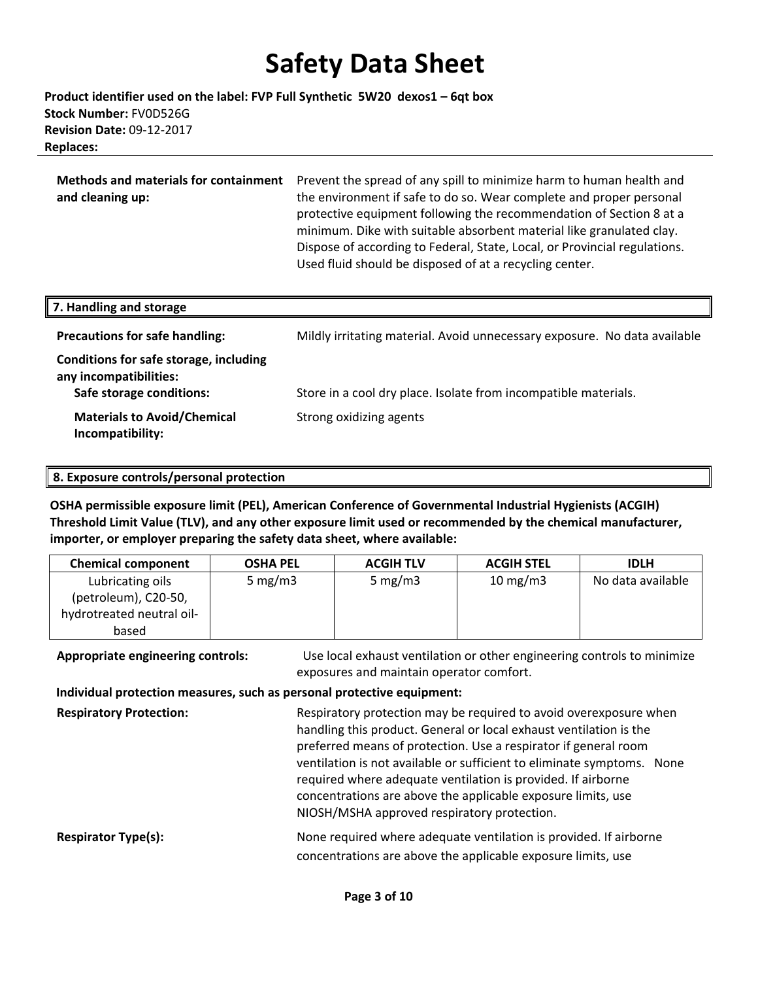**Product identifier used on the label: FVP Full Synthetic 5W20 dexos1 – 6qt box Stock Number:** FV0D526G **Revision Date:** 09‐12‐2017 **Replaces:**

**Methods and materials for containment** Prevent the spread of any spill to minimize harm to human health and **and cleaning up:** the environment if safe to do so. Wear complete and proper personal protective equipment following the recommendation of Section 8 at a minimum. Dike with suitable absorbent material like granulated clay. Dispose of according to Federal, State, Local, or Provincial regulations. Used fluid should be disposed of at a recycling center.

| 7. Handling and storage                                                                      |                                                                           |
|----------------------------------------------------------------------------------------------|---------------------------------------------------------------------------|
| <b>Precautions for safe handling:</b>                                                        | Mildly irritating material. Avoid unnecessary exposure. No data available |
| Conditions for safe storage, including<br>any incompatibilities:<br>Safe storage conditions: | Store in a cool dry place. Isolate from incompatible materials.           |
| <b>Materials to Avoid/Chemical</b><br>Incompatibility:                                       | Strong oxidizing agents                                                   |

**8. Exposure controls/personal protection**

**OSHA permissible exposure limit (PEL), American Conference of Governmental Industrial Hygienists (ACGIH) Threshold Limit Value (TLV), and any other exposure limit used or recommended by the chemical manufacturer, importer, or employer preparing the safety data sheet, where available:**

| <b>Chemical component</b> | <b>OSHA PEL</b> | <b>ACGIH TLV</b> | <b>ACGIH STEL</b> | <b>IDLH</b>       |
|---------------------------|-----------------|------------------|-------------------|-------------------|
| Lubricating oils          | 5 mg/m $3$      | 5 mg/m $3$       | $10 \text{ mg/m}$ | No data available |
| (petroleum), C20-50,      |                 |                  |                   |                   |
| hydrotreated neutral oil- |                 |                  |                   |                   |
| based                     |                 |                  |                   |                   |

**Appropriate engineering controls:** Use local exhaust ventilation or other engineering controls to minimize exposures and maintain operator comfort.

#### **Individual protection measures, such as personal protective equipment:**

| <b>Respiratory Protection:</b> | Respiratory protection may be required to avoid overexposure when<br>handling this product. General or local exhaust ventilation is the<br>preferred means of protection. Use a respirator if general room<br>ventilation is not available or sufficient to eliminate symptoms. None<br>required where adequate ventilation is provided. If airborne<br>concentrations are above the applicable exposure limits, use<br>NIOSH/MSHA approved respiratory protection. |  |
|--------------------------------|---------------------------------------------------------------------------------------------------------------------------------------------------------------------------------------------------------------------------------------------------------------------------------------------------------------------------------------------------------------------------------------------------------------------------------------------------------------------|--|
| <b>Respirator Type(s):</b>     | None required where adequate ventilation is provided. If airborne<br>concentrations are above the applicable exposure limits, use                                                                                                                                                                                                                                                                                                                                   |  |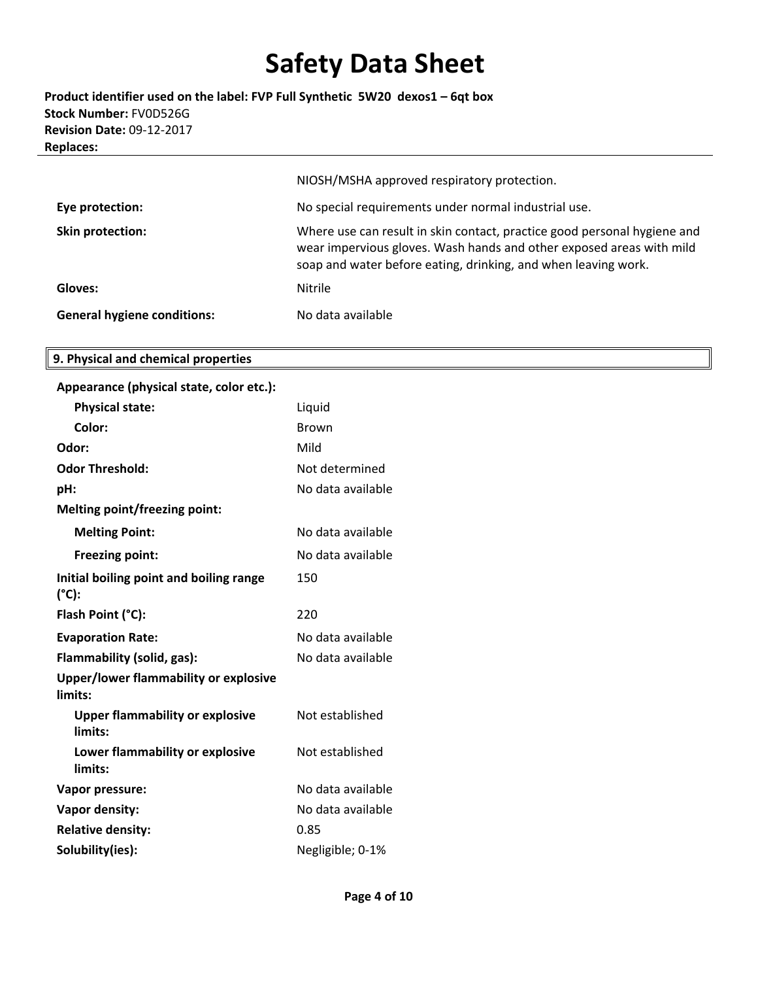**Product identifier used on the label: FVP Full Synthetic 5W20 dexos1 – 6qt box Stock Number:** FV0D526G **Revision Date:** 09‐12‐2017 **Replaces:**

|                                    | NIOSH/MSHA approved respiratory protection.                                                                                                                                                                        |
|------------------------------------|--------------------------------------------------------------------------------------------------------------------------------------------------------------------------------------------------------------------|
| Eye protection:                    | No special requirements under normal industrial use.                                                                                                                                                               |
| Skin protection:                   | Where use can result in skin contact, practice good personal hygiene and<br>wear impervious gloves. Wash hands and other exposed areas with mild<br>soap and water before eating, drinking, and when leaving work. |
| Gloves:                            | <b>Nitrile</b>                                                                                                                                                                                                     |
| <b>General hygiene conditions:</b> | No data available                                                                                                                                                                                                  |

#### **9. Physical and chemical properties**

| Appearance (physical state, color etc.):          |                   |
|---------------------------------------------------|-------------------|
| <b>Physical state:</b>                            | Liquid            |
| Color:                                            | <b>Brown</b>      |
| Odor:                                             | Mild              |
| <b>Odor Threshold:</b>                            | Not determined    |
| pH:                                               | No data available |
| <b>Melting point/freezing point:</b>              |                   |
| <b>Melting Point:</b>                             | No data available |
| Freezing point:                                   | No data available |
| Initial boiling point and boiling range<br>(°C):  | 150               |
| Flash Point (°C):                                 | 220               |
| <b>Evaporation Rate:</b>                          | No data available |
| Flammability (solid, gas):                        | No data available |
| Upper/lower flammability or explosive<br>limits:  |                   |
| <b>Upper flammability or explosive</b><br>limits: | Not established   |
| Lower flammability or explosive<br>limits:        | Not established   |
| <b>Vapor pressure:</b>                            | No data available |
| Vapor density:                                    | No data available |
| <b>Relative density:</b>                          | 0.85              |
| Solubility(ies):                                  | Negligible; 0-1%  |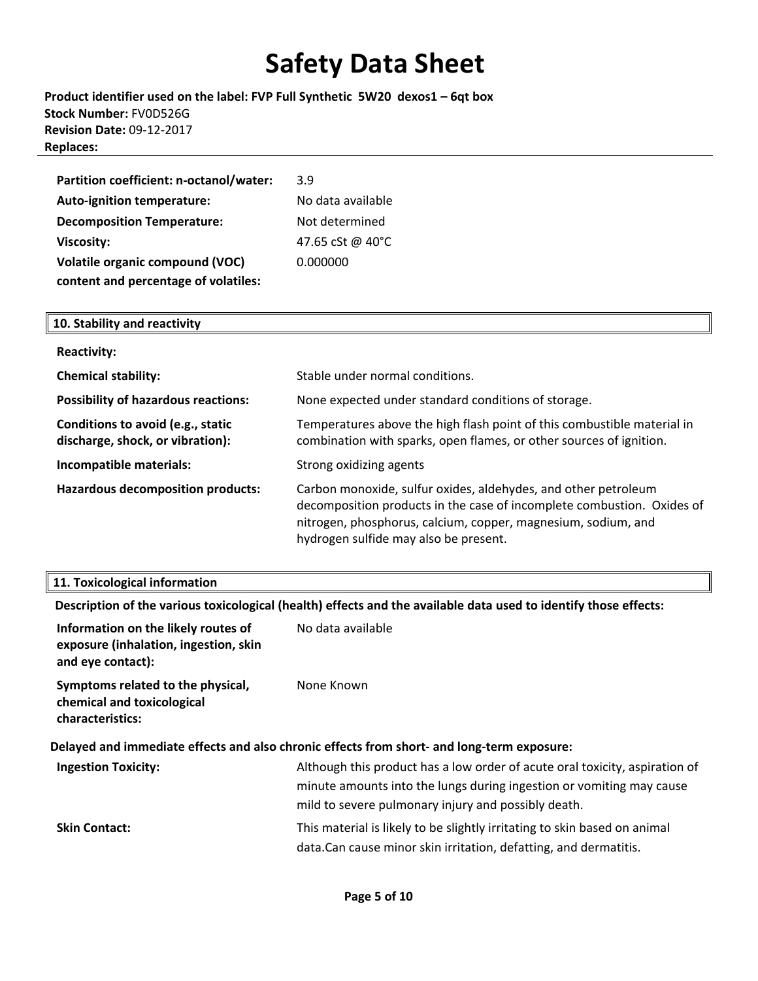**Product identifier used on the label: FVP Full Synthetic 5W20 dexos1 – 6qt box Stock Number:** FV0D526G **Revision Date:** 09‐12‐2017 **Replaces:**

| Partition coefficient: n-octanol/water: | 3.9               |
|-----------------------------------------|-------------------|
| <b>Auto-ignition temperature:</b>       | No data available |
| <b>Decomposition Temperature:</b>       | Not determined    |
| <b>Viscosity:</b>                       | 47.65 cSt @ 40°C  |
| <b>Volatile organic compound (VOC)</b>  | 0.000000          |
| content and percentage of volatiles:    |                   |

| 10. Stability and reactivity                                          |                                                                                                                                                                                                                                                    |
|-----------------------------------------------------------------------|----------------------------------------------------------------------------------------------------------------------------------------------------------------------------------------------------------------------------------------------------|
| <b>Reactivity:</b>                                                    |                                                                                                                                                                                                                                                    |
| <b>Chemical stability:</b>                                            | Stable under normal conditions.                                                                                                                                                                                                                    |
| <b>Possibility of hazardous reactions:</b>                            | None expected under standard conditions of storage.                                                                                                                                                                                                |
| Conditions to avoid (e.g., static<br>discharge, shock, or vibration): | Temperatures above the high flash point of this combustible material in<br>combination with sparks, open flames, or other sources of ignition.                                                                                                     |
| Incompatible materials:                                               | Strong oxidizing agents                                                                                                                                                                                                                            |
| <b>Hazardous decomposition products:</b>                              | Carbon monoxide, sulfur oxides, aldehydes, and other petroleum<br>decomposition products in the case of incomplete combustion. Oxides of<br>nitrogen, phosphorus, calcium, copper, magnesium, sodium, and<br>hydrogen sulfide may also be present. |

#### **11. Toxicological information**

|                                                                                                   | Description of the various toxicological (health) effects and the available data used to identify those effects:                                                                                           |
|---------------------------------------------------------------------------------------------------|------------------------------------------------------------------------------------------------------------------------------------------------------------------------------------------------------------|
| Information on the likely routes of<br>exposure (inhalation, ingestion, skin<br>and eye contact): | No data available                                                                                                                                                                                          |
| Symptoms related to the physical,<br>chemical and toxicological<br>characteristics:               | None Known                                                                                                                                                                                                 |
|                                                                                                   | Delayed and immediate effects and also chronic effects from short- and long-term exposure:                                                                                                                 |
| <b>Ingestion Toxicity:</b>                                                                        | Although this product has a low order of acute oral toxicity, aspiration of<br>minute amounts into the lungs during ingestion or vomiting may cause<br>mild to severe pulmonary injury and possibly death. |
| <b>Skin Contact:</b>                                                                              | This material is likely to be slightly irritating to skin based on animal<br>data. Can cause minor skin irritation, defatting, and dermatitis.                                                             |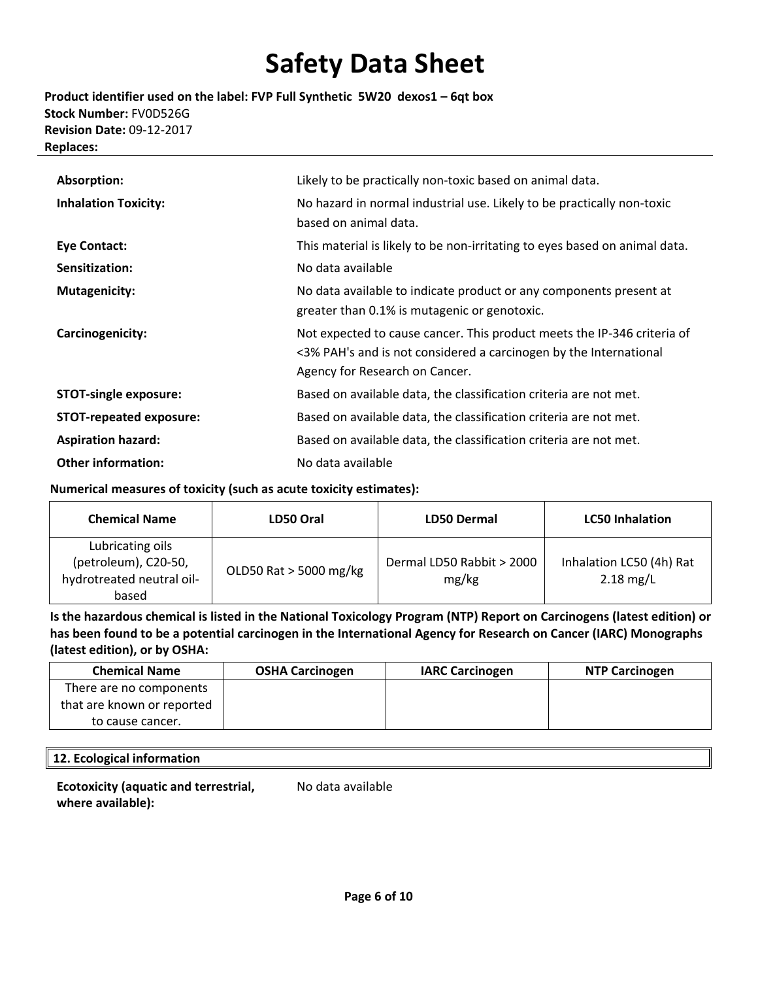**Product identifier used on the label: FVP Full Synthetic 5W20 dexos1 – 6qt box Stock Number:** FV0D526G **Revision Date:** 09‐12‐2017 **Replaces:**

| Absorption:                    | Likely to be practically non-toxic based on animal data.                                                                                                                       |
|--------------------------------|--------------------------------------------------------------------------------------------------------------------------------------------------------------------------------|
| <b>Inhalation Toxicity:</b>    | No hazard in normal industrial use. Likely to be practically non-toxic<br>based on animal data.                                                                                |
| Eye Contact:                   | This material is likely to be non-irritating to eyes based on animal data.                                                                                                     |
| Sensitization:                 | No data available                                                                                                                                                              |
| <b>Mutagenicity:</b>           | No data available to indicate product or any components present at<br>greater than 0.1% is mutagenic or genotoxic.                                                             |
| Carcinogenicity:               | Not expected to cause cancer. This product meets the IP-346 criteria of<br><3% PAH's and is not considered a carcinogen by the International<br>Agency for Research on Cancer. |
| <b>STOT-single exposure:</b>   | Based on available data, the classification criteria are not met.                                                                                                              |
| <b>STOT-repeated exposure:</b> | Based on available data, the classification criteria are not met.                                                                                                              |
| <b>Aspiration hazard:</b>      | Based on available data, the classification criteria are not met.                                                                                                              |
| <b>Other information:</b>      | No data available                                                                                                                                                              |

**Numerical measures of toxicity (such as acute toxicity estimates):**

| <b>Chemical Name</b>                                                           | <b>LD50 Dermal</b><br>LD50 Oral |                                    | <b>LC50 Inhalation</b>                  |
|--------------------------------------------------------------------------------|---------------------------------|------------------------------------|-----------------------------------------|
| Lubricating oils<br>(petroleum), C20-50,<br>hydrotreated neutral oil-<br>based | OLD50 Rat > 5000 mg/kg          | Dermal LD50 Rabbit > 2000<br>mg/kg | Inhalation LC50 (4h) Rat<br>$2.18$ mg/L |

Is the hazardous chemical is listed in the National Toxicology Program (NTP) Report on Carcinogens (latest edition) or has been found to be a potential carcinogen in the International Agency for Research on Cancer (IARC) Monographs **(latest edition), or by OSHA:**

| <b>Chemical Name</b>       | <b>OSHA Carcinogen</b> | <b>IARC Carcinogen</b> | <b>NTP Carcinogen</b> |
|----------------------------|------------------------|------------------------|-----------------------|
| There are no components    |                        |                        |                       |
| that are known or reported |                        |                        |                       |
| to cause cancer.           |                        |                        |                       |

#### **12. Ecological information**

**Ecotoxicity (aquatic and terrestrial, where available):**

No data available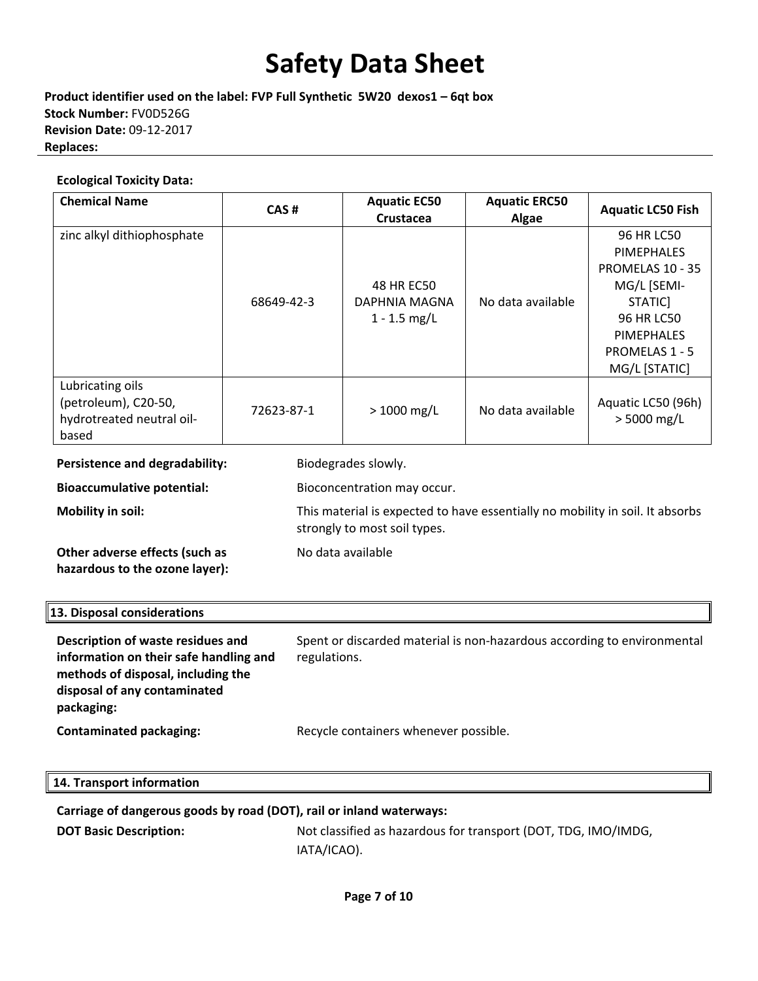**Product identifier used on the label: FVP Full Synthetic 5W20 dexos1 – 6qt box Stock Number:** FV0D526G **Revision Date:** 09‐12‐2017 **Replaces:**

#### **Ecological Toxicity Data:**

| <b>Chemical Name</b>                                                           | CAS#       | <b>Aquatic EC50</b><br><b>Crustacea</b>       | <b>Aquatic ERC50</b><br>Algae | <b>Aquatic LC50 Fish</b>                                                                                                                            |
|--------------------------------------------------------------------------------|------------|-----------------------------------------------|-------------------------------|-----------------------------------------------------------------------------------------------------------------------------------------------------|
| zinc alkyl dithiophosphate                                                     | 68649-42-3 | 48 HR EC50<br>DAPHNIA MAGNA<br>$1 - 1.5$ mg/L | No data available             | 96 HR LC50<br><b>PIMEPHALES</b><br>PROMELAS 10 - 35<br>MG/L [SEMI-<br>STATIC]<br>96 HR LC50<br><b>PIMEPHALES</b><br>PROMELAS 1 - 5<br>MG/L [STATIC] |
| Lubricating oils<br>(petroleum), C20-50,<br>hydrotreated neutral oil-<br>based | 72623-87-1 | $> 1000$ mg/L                                 | No data available             | Aquatic LC50 (96h)<br>$> 5000$ mg/L                                                                                                                 |
| Persistence and degradability:                                                 |            | Biodegrades slowly.                           |                               |                                                                                                                                                     |
| <b>Bioaccumulative potential:</b>                                              |            | Bioconcentration may occur.                   |                               |                                                                                                                                                     |

**Mobility in soil:** This material is expected to have essentially no mobility in soil. It absorbs

**Other adverse effects (such as hazardous to the ozone layer):**

No data available

strongly to most soil types.

### **13. Disposal considerations**

**Description of waste residues and information on their safe handling and methods of disposal, including the disposal of any contaminated packaging:** Spent or discarded material is non‐hazardous according to environmental regulations. **Contaminated packaging:** Recycle containers whenever possible.

#### **14. Transport information**

**Carriage of dangerous goods by road (DOT), rail or inland waterways:**

**DOT Basic Description:** Not classified as hazardous for transport (DOT, TDG, IMO/IMDG, IATA/ICAO).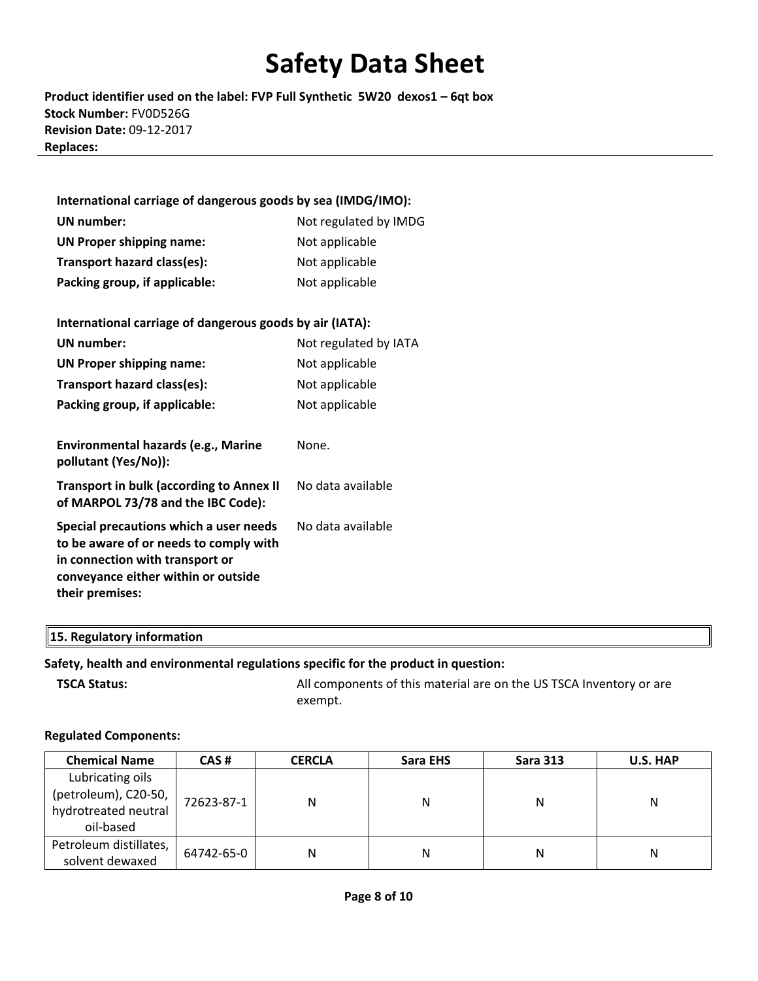**Product identifier used on the label: FVP Full Synthetic 5W20 dexos1 – 6qt box Stock Number:** FV0D526G **Revision Date:** 09‐12‐2017 **Replaces:**

| International carriage of dangerous goods by sea (IMDG/IMO):                                                        |                       |  |  |  |  |
|---------------------------------------------------------------------------------------------------------------------|-----------------------|--|--|--|--|
| UN number:                                                                                                          | Not regulated by IMDG |  |  |  |  |
| <b>UN Proper shipping name:</b>                                                                                     | Not applicable        |  |  |  |  |
| Transport hazard class(es):                                                                                         | Not applicable        |  |  |  |  |
| Packing group, if applicable:                                                                                       | Not applicable        |  |  |  |  |
|                                                                                                                     |                       |  |  |  |  |
| International carriage of dangerous goods by air (IATA):                                                            |                       |  |  |  |  |
| UN number:                                                                                                          | Not regulated by IATA |  |  |  |  |
| <b>UN Proper shipping name:</b>                                                                                     | Not applicable        |  |  |  |  |
| Transport hazard class(es):                                                                                         | Not applicable        |  |  |  |  |
| Packing group, if applicable:                                                                                       | Not applicable        |  |  |  |  |
|                                                                                                                     |                       |  |  |  |  |
| Environmental hazards (e.g., Marine<br>pollutant (Yes/No)):                                                         | None.                 |  |  |  |  |
| <b>Transport in bulk (according to Annex II</b><br>of MARPOL 73/78 and the IBC Code):                               | No data available     |  |  |  |  |
| Special precautions which a user needs<br>to be aware of or needs to comply with<br>in connection with transport or | No data available     |  |  |  |  |

#### **15. Regulatory information**

**their premises:**

#### **Safety, health and environmental regulations specific for the product in question:**

**conveyance either within or outside**

**TSCA Status: COLLEGA All components of this material are on the US TSCA Inventory or are** exempt.

#### **Regulated Components:**

| <b>Chemical Name</b>   | CAS#       | <b>CERCLA</b> | Sara EHS | <b>Sara 313</b> | U.S. HAP |
|------------------------|------------|---------------|----------|-----------------|----------|
| Lubricating oils       |            |               |          |                 |          |
| (petroleum), C20-50,   | 72623-87-1 | N             | N        | Ν               | N        |
| hydrotreated neutral   |            |               |          |                 |          |
| oil-based              |            |               |          |                 |          |
| Petroleum distillates, | 64742-65-0 | N             | Ν        | N               | N        |
| solvent dewaxed        |            |               |          |                 |          |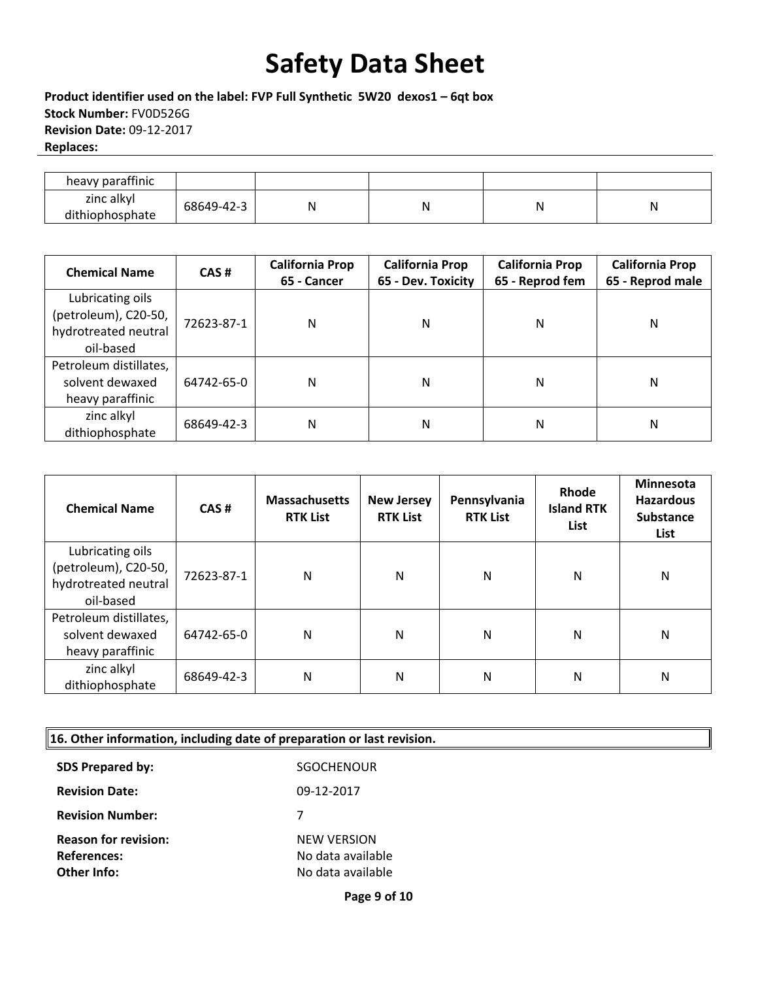**Product identifier used on the label: FVP Full Synthetic 5W20 dexos1 – 6qt box Stock Number:** FV0D526G **Revision Date:** 09‐12‐2017 **Replaces:**

| heavy paraffinic              |            |   |   |
|-------------------------------|------------|---|---|
| zinc alkyl<br>dithiophosphate | 68649-42-3 | N | N |

| <b>Chemical Name</b>                                                          | CAS#       | <b>California Prop</b><br>65 - Cancer | <b>California Prop</b><br>65 - Dev. Toxicity | <b>California Prop</b><br>65 - Reprod fem | <b>California Prop</b><br>65 - Reprod male |
|-------------------------------------------------------------------------------|------------|---------------------------------------|----------------------------------------------|-------------------------------------------|--------------------------------------------|
| Lubricating oils<br>(petroleum), C20-50,<br>hydrotreated neutral<br>oil-based | 72623-87-1 | N                                     | Ν                                            | N                                         | N                                          |
| Petroleum distillates,<br>solvent dewaxed<br>heavy paraffinic                 | 64742-65-0 | N                                     | Ν                                            | Ν                                         | N                                          |
| zinc alkyl<br>dithiophosphate                                                 | 68649-42-3 | N                                     | N                                            | N                                         | N                                          |

| <b>Chemical Name</b>                                                          | CAS#       | <b>Massachusetts</b><br><b>RTK List</b> | <b>New Jersey</b><br><b>RTK List</b> | Pennsylvania<br><b>RTK List</b> | Rhode<br><b>Island RTK</b><br>List | <b>Minnesota</b><br><b>Hazardous</b><br><b>Substance</b><br>List |
|-------------------------------------------------------------------------------|------------|-----------------------------------------|--------------------------------------|---------------------------------|------------------------------------|------------------------------------------------------------------|
| Lubricating oils<br>(petroleum), C20-50,<br>hydrotreated neutral<br>oil-based | 72623-87-1 | N                                       | N                                    | N                               | N                                  | N                                                                |
| Petroleum distillates,<br>solvent dewaxed<br>heavy paraffinic                 | 64742-65-0 | N                                       | N                                    | Ν                               | N                                  | N                                                                |
| zinc alkyl<br>dithiophosphate                                                 | 68649-42-3 | N                                       | N                                    | Ν                               | N                                  | N                                                                |

|  |  |  | 16. Other information, including date of preparation or last revision. |
|--|--|--|------------------------------------------------------------------------|
|  |  |  |                                                                        |

| <b>SDS Prepared by:</b>     | SGOCHENOUR         |
|-----------------------------|--------------------|
| <b>Revision Date:</b>       | 09-12-2017         |
| <b>Revision Number:</b>     | 7                  |
| <b>Reason for revision:</b> | <b>NEW VERSION</b> |
| <b>References:</b>          | No data available  |
| Other Info:                 | No data available  |

**Page 9 of 10**